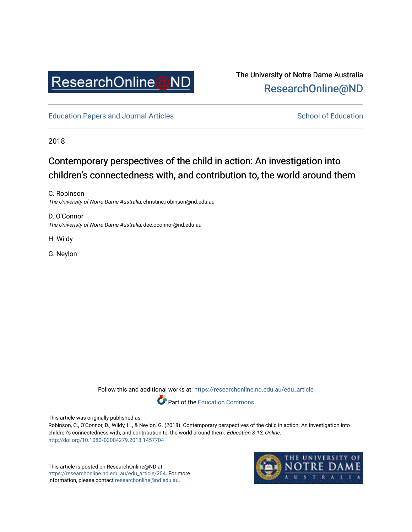

## The University of Notre Dame Australia [ResearchOnline@ND](https://researchonline.nd.edu.au/)

[Education Papers and Journal Articles](https://researchonline.nd.edu.au/edu_article) [School of Education](https://researchonline.nd.edu.au/edu) School of Education

2018

# Contemporary perspectives of the child in action: An investigation into children's connectedness with, and contribution to, the world around them

C. Robinson The University of Notre Dame Australia, christine.robinson@nd.edu.au

D. O'Connor The Univeristy of Notre Dame Australia, dee.oconnor@nd.edu.au

H. Wildy

G. Neylon

Follow this and additional works at: [https://researchonline.nd.edu.au/edu\\_article](https://researchonline.nd.edu.au/edu_article?utm_source=researchonline.nd.edu.au%2Fedu_article%2F204&utm_medium=PDF&utm_campaign=PDFCoverPages)

Part of the [Education Commons](http://network.bepress.com/hgg/discipline/784?utm_source=researchonline.nd.edu.au%2Fedu_article%2F204&utm_medium=PDF&utm_campaign=PDFCoverPages) 

This article was originally published as:

Robinson, C., O'Connor, D., Wildy, H., & Neylon, G. (2018). Contemporary perspectives of the child in action: An investigation into children's connectedness with, and contribution to, the world around them. Education 3-13, Online. <http://doi.org/10.1080/03004279.2018.1457704>

This article is posted on ResearchOnline@ND at [https://researchonline.nd.edu.au/edu\\_article/204](https://researchonline.nd.edu.au/edu_article/204). For more information, please contact [researchonline@nd.edu.au.](mailto:researchonline@nd.edu.au)

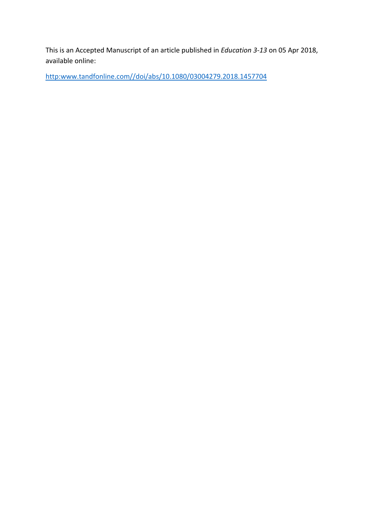This is an Accepted Manuscript of an article published in *Education 3-13* on 05 Apr 2018, available online:

[http:www.tandfonline.com//doi/abs/10.1080/03004279.2018.1457704](https://www.tandfonline.com/doi/abs/10.1080/03004279.2018.1457704)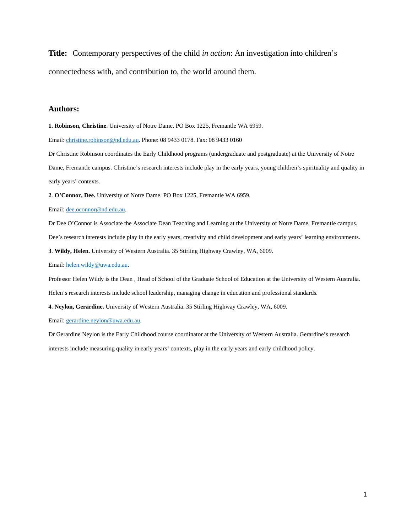**Title:** Contemporary perspectives of the child *in action*: An investigation into children's connectedness with, and contribution to, the world around them.

#### **Authors:**

**1. Robinson, Christine**. University of Notre Dame. PO Box 1225, Fremantle WA 6959.

Email[: christine.robinson@nd.edu.au.](mailto:christine.robinson@nd.edu.au) Phone: 08 9433 0178. Fax: 08 9433 0160

Dr Christine Robinson coordinates the Early Childhood programs (undergraduate and postgraduate) at the University of Notre

Dame, Fremantle campus. Christine's research interests include play in the early years, young children's spirituality and quality in early years' contexts.

**2**. **O'Connor, Dee.** University of Notre Dame. PO Box 1225, Fremantle WA 6959.

Email[: dee.oconnor@nd.edu.au.](mailto:dee.oconnor@nd.edu.au)

Dr Dee O'Connor is Associate the Associate Dean Teaching and Learning at the University of Notre Dame, Fremantle campus.

Dee's research interests include play in the early years, creativity and child development and early years' learning environments.

**3**. **Wildy, Helen.** University of Western Australia. 35 Stirling Highway Crawley, WA, 6009.

Email[: helen.wildy@uwa.edu.au.](mailto:helen.wildy@uwa.edu.au) 

Professor Helen Wildy is the Dean , Head of School of the Graduate School of Education at the University of Western Australia.

Helen's research interests include school leadership, managing change in education and professional standards.

**4**. **Neylon, Gerardine.** University of Western Australia. 35 Stirling Highway Crawley, WA, 6009.

Email[: gerardine.neylon@uwa.edu.au.](mailto:gerardine.neylon@uwa.edu.au)

Dr Gerardine Neylon is the Early Childhood course coordinator at the University of Western Australia. Gerardine's research interests include measuring quality in early years' contexts, play in the early years and early childhood policy.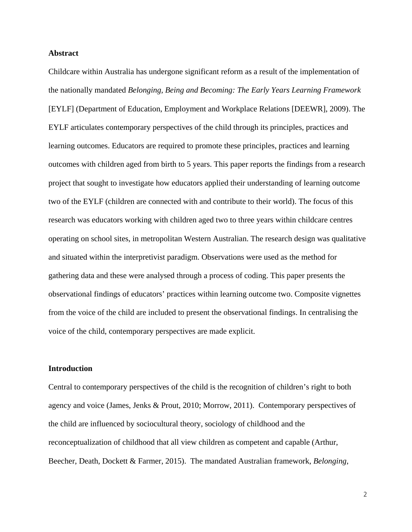## **Abstract**

Childcare within Australia has undergone significant reform as a result of the implementation of the nationally mandated *Belonging, Being and Becoming: The Early Years Learning Framework* [EYLF] (Department of Education, Employment and Workplace Relations [DEEWR], 2009). The EYLF articulates contemporary perspectives of the child through its principles, practices and learning outcomes. Educators are required to promote these principles, practices and learning outcomes with children aged from birth to 5 years. This paper reports the findings from a research project that sought to investigate how educators applied their understanding of learning outcome two of the EYLF (children are connected with and contribute to their world). The focus of this research was educators working with children aged two to three years within childcare centres operating on school sites, in metropolitan Western Australian. The research design was qualitative and situated within the interpretivist paradigm. Observations were used as the method for gathering data and these were analysed through a process of coding. This paper presents the observational findings of educators' practices within learning outcome two. Composite vignettes from the voice of the child are included to present the observational findings. In centralising the voice of the child, contemporary perspectives are made explicit.

## **Introduction**

Central to contemporary perspectives of the child is the recognition of children's right to both agency and voice (James, Jenks & Prout, 2010; Morrow, 2011). Contemporary perspectives of the child are influenced by sociocultural theory, sociology of childhood and the reconceptualization of childhood that all view children as competent and capable (Arthur, Beecher, Death, Dockett & Farmer, 2015). The mandated Australian framework, *Belonging,*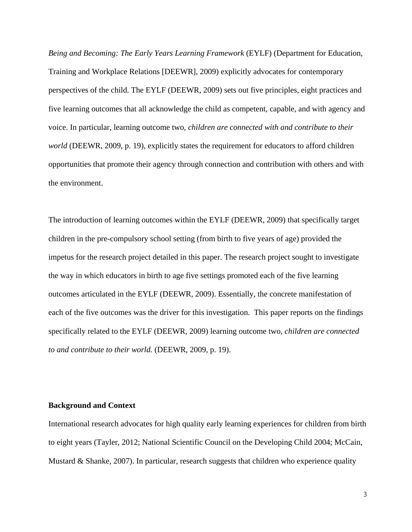*Being and Becoming: The Early Years Learning Framework* (EYLF) (Department for Education, Training and Workplace Relations [DEEWR], 2009) explicitly advocates for contemporary perspectives of the child. The EYLF (DEEWR, 2009) sets out five principles, eight practices and five learning outcomes that all acknowledge the child as competent, capable, and with agency and voice. In particular, learning outcome two, *children are connected with and contribute to their world* (DEEWR, 2009, p. 19)*,* explicitly states the requirement for educators to afford children opportunities that promote their agency through connection and contribution with others and with the environment.

The introduction of learning outcomes within the EYLF (DEEWR, 2009) that specifically target children in the pre-compulsory school setting (from birth to five years of age) provided the impetus for the research project detailed in this paper. The research project sought to investigate the way in which educators in birth to age five settings promoted each of the five learning outcomes articulated in the EYLF (DEEWR, 2009). Essentially, the concrete manifestation of each of the five outcomes was the driver for this investigation. This paper reports on the findings specifically related to the EYLF (DEEWR, 2009) learning outcome two, *children are connected to and contribute to their world.* (DEEWR, 2009, p. 19).

#### **Background and Context**

International research advocates for high quality early learning experiences for children from birth to eight years (Tayler, 2012; National Scientific Council on the Developing Child 2004; McCain, Mustard  $\&$  Shanke, 2007). In particular, research suggests that children who experience quality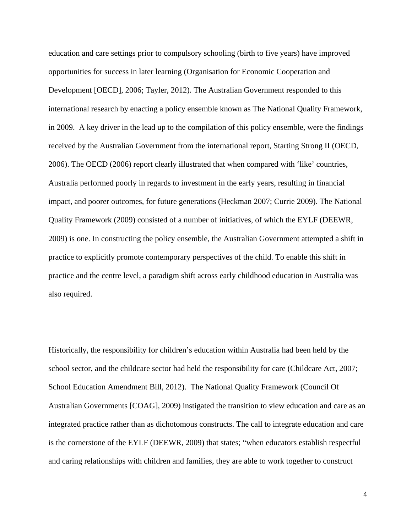education and care settings prior to compulsory schooling (birth to five years) have improved opportunities for success in later learning (Organisation for Economic Cooperation and Development [OECD], 2006; Tayler, 2012). The Australian Government responded to this international research by enacting a policy ensemble known as The National Quality Framework*,*  in 2009. A key driver in the lead up to the compilation of this policy ensemble, were the findings received by the Australian Government from the international report, Starting Strong II (OECD, 2006). The OECD (2006) report clearly illustrated that when compared with 'like' countries, Australia performed poorly in regards to investment in the early years, resulting in financial impact, and poorer outcomes, for future generations (Heckman 2007; Currie 2009). The National Quality Framework (2009) consisted of a number of initiatives, of which the EYLF (DEEWR, 2009) is one. In constructing the policy ensemble, the Australian Government attempted a shift in practice to explicitly promote contemporary perspectives of the child. To enable this shift in practice and the centre level, a paradigm shift across early childhood education in Australia was also required.

Historically, the responsibility for children's education within Australia had been held by the school sector, and the childcare sector had held the responsibility for care (Childcare Act, 2007; School Education Amendment Bill, 2012). The National Quality Framework (Council Of Australian Governments [COAG], 2009) instigated the transition to view education and care as an integrated practice rather than as dichotomous constructs. The call to integrate education and care is the cornerstone of the EYLF (DEEWR, 2009) that states; "when educators establish respectful and caring relationships with children and families, they are able to work together to construct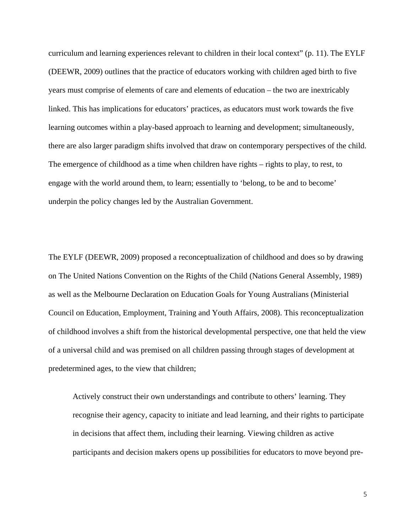curriculum and learning experiences relevant to children in their local context" (p. 11). The EYLF (DEEWR, 2009) outlines that the practice of educators working with children aged birth to five years must comprise of elements of care and elements of education – the two are inextricably linked. This has implications for educators' practices, as educators must work towards the five learning outcomes within a play-based approach to learning and development; simultaneously, there are also larger paradigm shifts involved that draw on contemporary perspectives of the child. The emergence of childhood as a time when children have rights – rights to play, to rest, to engage with the world around them, to learn; essentially to 'belong, to be and to become' underpin the policy changes led by the Australian Government.

The EYLF (DEEWR, 2009) proposed a reconceptualization of childhood and does so by drawing on The United Nations Convention on the Rights of the Child (Nations General Assembly, 1989) as well as the Melbourne Declaration on Education Goals for Young Australians (Ministerial Council on Education, Employment, Training and Youth Affairs, 2008). This reconceptualization of childhood involves a shift from the historical developmental perspective, one that held the view of a universal child and was premised on all children passing through stages of development at predetermined ages, to the view that children;

Actively construct their own understandings and contribute to others' learning. They recognise their agency, capacity to initiate and lead learning, and their rights to participate in decisions that affect them, including their learning. Viewing children as active participants and decision makers opens up possibilities for educators to move beyond pre-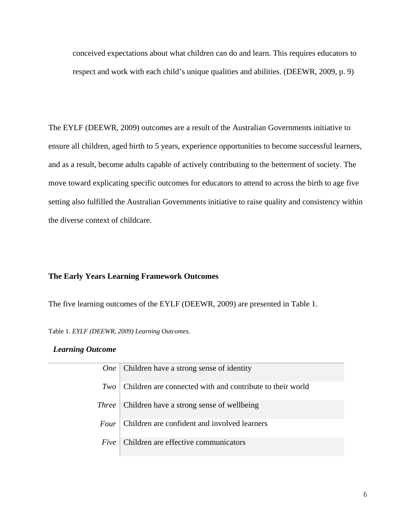conceived expectations about what children can do and learn. This requires educators to respect and work with each child's unique qualities and abilities. (DEEWR, 2009, p. 9)

The EYLF (DEEWR, 2009) outcomes are a result of the Australian Governments initiative to ensure all children, aged birth to 5 years, experience opportunities to become successful learners, and as a result, become adults capable of actively contributing to the betterment of society. The move toward explicating specific outcomes for educators to attend to across the birth to age five setting also fulfilled the Australian Governments initiative to raise quality and consistency within the diverse context of childcare.

## **The Early Years Learning Framework Outcomes**

The five learning outcomes of the EYLF (DEEWR, 2009) are presented in Table 1.

Table 1. *EYLF (DEEWR, 2009) Learning Outcomes.*

## *Learning Outcome*

| <b>One</b>   | Children have a strong sense of identity                  |
|--------------|-----------------------------------------------------------|
| Two          | Children are connected with and contribute to their world |
| <i>Three</i> | Children have a strong sense of wellbeing                 |
| <i>Four</i>  | Children are confident and involved learners              |
| Five         | Children are effective communicators                      |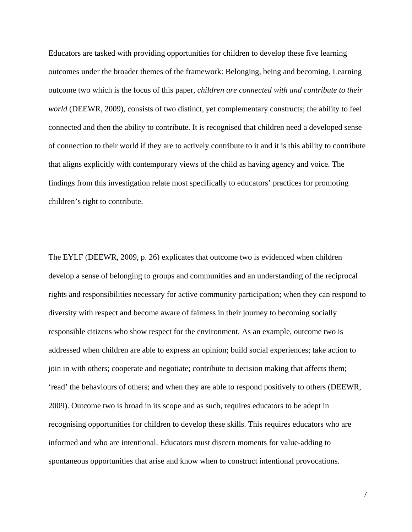Educators are tasked with providing opportunities for children to develop these five learning outcomes under the broader themes of the framework: Belonging, being and becoming. Learning outcome two which is the focus of this paper, *children are connected with and contribute to their world* (DEEWR, 2009)*,* consists of two distinct, yet complementary constructs; the ability to feel connected and then the ability to contribute. It is recognised that children need a developed sense of connection to their world if they are to actively contribute to it and it is this ability to contribute that aligns explicitly with contemporary views of the child as having agency and voice. The findings from this investigation relate most specifically to educators' practices for promoting children's right to contribute.

The EYLF (DEEWR, 2009, p. 26) explicates that outcome two is evidenced when children develop a sense of belonging to groups and communities and an understanding of the reciprocal rights and responsibilities necessary for active community participation; when they can respond to diversity with respect and become aware of fairness in their journey to becoming socially responsible citizens who show respect for the environment. As an example, outcome two is addressed when children are able to express an opinion; build social experiences; take action to join in with others; cooperate and negotiate; contribute to decision making that affects them; 'read' the behaviours of others; and when they are able to respond positively to others (DEEWR, 2009). Outcome two is broad in its scope and as such, requires educators to be adept in recognising opportunities for children to develop these skills. This requires educators who are informed and who are intentional. Educators must discern moments for value-adding to spontaneous opportunities that arise and know when to construct intentional provocations.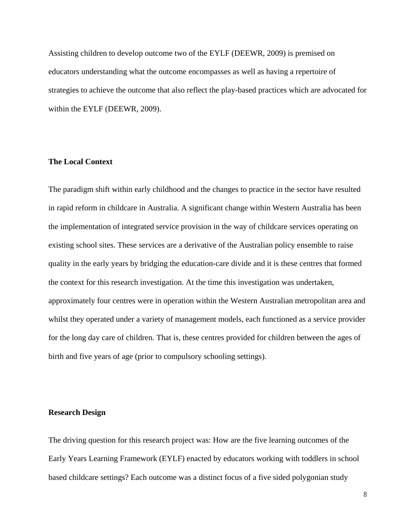Assisting children to develop outcome two of the EYLF (DEEWR, 2009) is premised on educators understanding what the outcome encompasses as well as having a repertoire of strategies to achieve the outcome that also reflect the play-based practices which are advocated for within the EYLF (DEEWR, 2009).

## **The Local Context**

The paradigm shift within early childhood and the changes to practice in the sector have resulted in rapid reform in childcare in Australia. A significant change within Western Australia has been the implementation of integrated service provision in the way of childcare services operating on existing school sites. These services are a derivative of the Australian policy ensemble to raise quality in the early years by bridging the education-care divide and it is these centres that formed the context for this research investigation. At the time this investigation was undertaken, approximately four centres were in operation within the Western Australian metropolitan area and whilst they operated under a variety of management models, each functioned as a service provider for the long day care of children. That is, these centres provided for children between the ages of birth and five years of age (prior to compulsory schooling settings).

## **Research Design**

The driving question for this research project was: How are the five learning outcomes of the Early Years Learning Framework (EYLF) enacted by educators working with toddlers in school based childcare settings? Each outcome was a distinct focus of a five sided polygonian study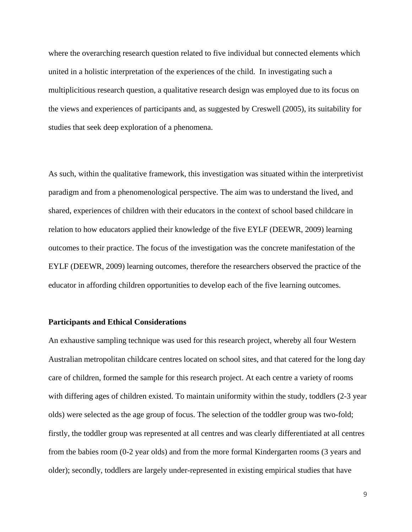where the overarching research question related to five individual but connected elements which united in a holistic interpretation of the experiences of the child. In investigating such a multiplicitious research question, a qualitative research design was employed due to its focus on the views and experiences of participants and, as suggested by Creswell (2005), its suitability for studies that seek deep exploration of a phenomena.

As such, within the qualitative framework, this investigation was situated within the interpretivist paradigm and from a phenomenological perspective. The aim was to understand the lived, and shared, experiences of children with their educators in the context of school based childcare in relation to how educators applied their knowledge of the five EYLF (DEEWR, 2009) learning outcomes to their practice. The focus of the investigation was the concrete manifestation of the EYLF (DEEWR, 2009) learning outcomes, therefore the researchers observed the practice of the educator in affording children opportunities to develop each of the five learning outcomes.

## **Participants and Ethical Considerations**

An exhaustive sampling technique was used for this research project, whereby all four Western Australian metropolitan childcare centres located on school sites, and that catered for the long day care of children, formed the sample for this research project. At each centre a variety of rooms with differing ages of children existed. To maintain uniformity within the study, toddlers (2-3 year olds) were selected as the age group of focus. The selection of the toddler group was two-fold; firstly, the toddler group was represented at all centres and was clearly differentiated at all centres from the babies room (0-2 year olds) and from the more formal Kindergarten rooms (3 years and older); secondly, toddlers are largely under-represented in existing empirical studies that have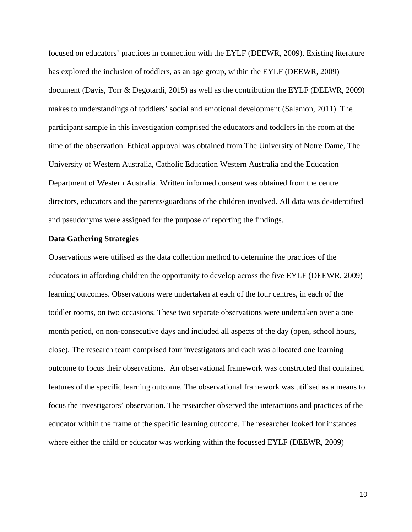focused on educators' practices in connection with the EYLF (DEEWR, 2009). Existing literature has explored the inclusion of toddlers, as an age group, within the EYLF (DEEWR, 2009) document (Davis, Torr & Degotardi, 2015) as well as the contribution the EYLF (DEEWR, 2009) makes to understandings of toddlers' social and emotional development (Salamon, 2011). The participant sample in this investigation comprised the educators and toddlers in the room at the time of the observation. Ethical approval was obtained from The University of Notre Dame, The University of Western Australia, Catholic Education Western Australia and the Education Department of Western Australia. Written informed consent was obtained from the centre directors, educators and the parents/guardians of the children involved. All data was de-identified and pseudonyms were assigned for the purpose of reporting the findings.

## **Data Gathering Strategies**

Observations were utilised as the data collection method to determine the practices of the educators in affording children the opportunity to develop across the five EYLF (DEEWR, 2009) learning outcomes. Observations were undertaken at each of the four centres, in each of the toddler rooms, on two occasions. These two separate observations were undertaken over a one month period, on non-consecutive days and included all aspects of the day (open, school hours, close). The research team comprised four investigators and each was allocated one learning outcome to focus their observations. An observational framework was constructed that contained features of the specific learning outcome. The observational framework was utilised as a means to focus the investigators' observation. The researcher observed the interactions and practices of the educator within the frame of the specific learning outcome. The researcher looked for instances where either the child or educator was working within the focussed EYLF (DEEWR, 2009)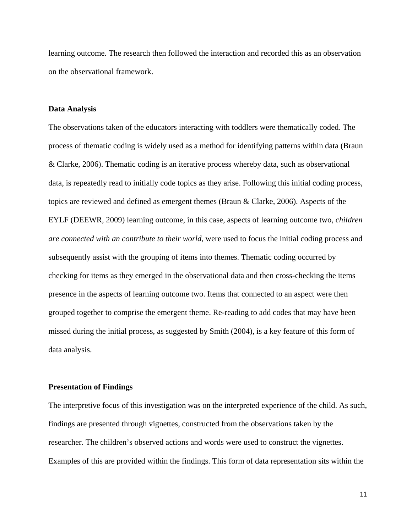learning outcome. The research then followed the interaction and recorded this as an observation on the observational framework.

#### **Data Analysis**

The observations taken of the educators interacting with toddlers were thematically coded. The process of thematic coding is widely used as a method for identifying patterns within data (Braun & Clarke, 2006). Thematic coding is an iterative process whereby data, such as observational data, is repeatedly read to initially code topics as they arise. Following this initial coding process, topics are reviewed and defined as emergent themes (Braun & Clarke, 2006). Aspects of the EYLF (DEEWR, 2009) learning outcome, in this case, aspects of learning outcome two, *children are connected with an contribute to their world,* were used to focus the initial coding process and subsequently assist with the grouping of items into themes. Thematic coding occurred by checking for items as they emerged in the observational data and then cross-checking the items presence in the aspects of learning outcome two. Items that connected to an aspect were then grouped together to comprise the emergent theme. Re-reading to add codes that may have been missed during the initial process, as suggested by Smith (2004), is a key feature of this form of data analysis.

#### **Presentation of Findings**

The interpretive focus of this investigation was on the interpreted experience of the child. As such, findings are presented through vignettes, constructed from the observations taken by the researcher. The children's observed actions and words were used to construct the vignettes. Examples of this are provided within the findings. This form of data representation sits within the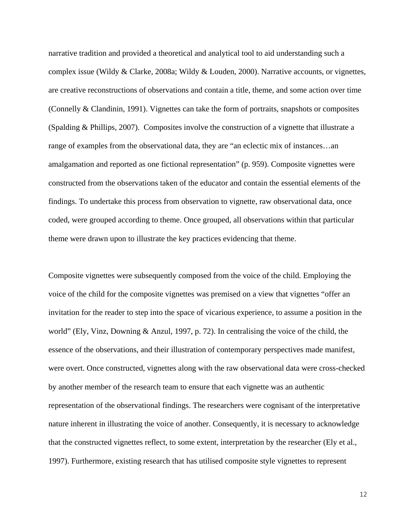narrative tradition and provided a theoretical and analytical tool to aid understanding such a complex issue (Wildy & Clarke, 2008a; Wildy & Louden, 2000). Narrative accounts, or vignettes, are creative reconstructions of observations and contain a title, theme, and some action over time (Connelly & Clandinin, 1991). Vignettes can take the form of portraits, snapshots or composites (Spalding & Phillips, 2007). Composites involve the construction of a vignette that illustrate a range of examples from the observational data, they are "an eclectic mix of instances…an amalgamation and reported as one fictional representation" (p. 959). Composite vignettes were constructed from the observations taken of the educator and contain the essential elements of the findings. To undertake this process from observation to vignette, raw observational data, once coded, were grouped according to theme. Once grouped, all observations within that particular theme were drawn upon to illustrate the key practices evidencing that theme.

Composite vignettes were subsequently composed from the voice of the child. Employing the voice of the child for the composite vignettes was premised on a view that vignettes "offer an invitation for the reader to step into the space of vicarious experience, to assume a position in the world" (Ely, Vinz, Downing & Anzul, 1997, p. 72). In centralising the voice of the child, the essence of the observations, and their illustration of contemporary perspectives made manifest, were overt. Once constructed, vignettes along with the raw observational data were cross-checked by another member of the research team to ensure that each vignette was an authentic representation of the observational findings. The researchers were cognisant of the interpretative nature inherent in illustrating the voice of another. Consequently, it is necessary to acknowledge that the constructed vignettes reflect, to some extent, interpretation by the researcher (Ely et al., 1997). Furthermore, existing research that has utilised composite style vignettes to represent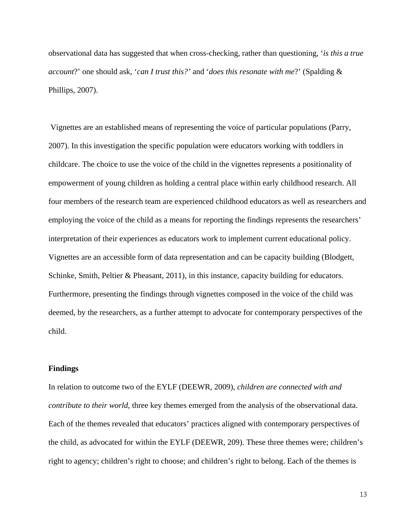observational data has suggested that when cross-checking, rather than questioning, '*is this a true account*?' one should ask, '*can I trust this?'* and '*does this resonate with me*?' (Spalding & Phillips, 2007).

Vignettes are an established means of representing the voice of particular populations (Parry, 2007). In this investigation the specific population were educators working with toddlers in childcare. The choice to use the voice of the child in the vignettes represents a positionality of empowerment of young children as holding a central place within early childhood research. All four members of the research team are experienced childhood educators as well as researchers and employing the voice of the child as a means for reporting the findings represents the researchers' interpretation of their experiences as educators work to implement current educational policy. Vignettes are an accessible form of data representation and can be capacity building (Blodgett, Schinke, Smith, Peltier & Pheasant, 2011), in this instance, capacity building for educators. Furthermore, presenting the findings through vignettes composed in the voice of the child was deemed, by the researchers, as a further attempt to advocate for contemporary perspectives of the child.

## **Findings**

In relation to outcome two of the EYLF (DEEWR, 2009), *children are connected with and contribute to their world,* three key themes emerged from the analysis of the observational data. Each of the themes revealed that educators' practices aligned with contemporary perspectives of the child, as advocated for within the EYLF (DEEWR, 209). These three themes were; children's right to agency; children's right to choose; and children's right to belong. Each of the themes is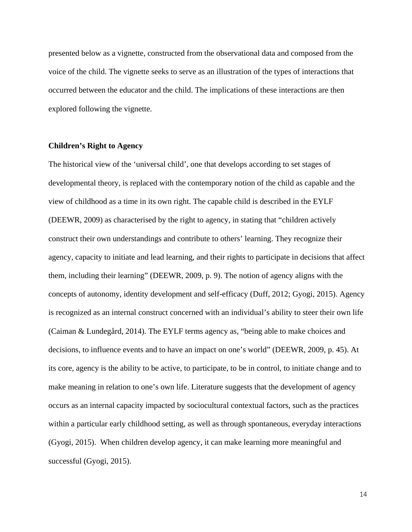presented below as a vignette, constructed from the observational data and composed from the voice of the child. The vignette seeks to serve as an illustration of the types of interactions that occurred between the educator and the child. The implications of these interactions are then explored following the vignette.

## **Children's Right to Agency**

The historical view of the 'universal child', one that develops according to set stages of developmental theory, is replaced with the contemporary notion of the child as capable and the view of childhood as a time in its own right. The capable child is described in the EYLF (DEEWR, 2009) as characterised by the right to agency, in stating that "children actively construct their own understandings and contribute to others' learning. They recognize their agency, capacity to initiate and lead learning, and their rights to participate in decisions that affect them, including their learning" (DEEWR, 2009, p. 9). The notion of agency aligns with the concepts of autonomy, identity development and self-efficacy (Duff, 2012; Gyogi, 2015). Agency is recognized as an internal construct concerned with an individual's ability to steer their own life (Caiman & Lundegård, 2014). The EYLF terms agency as, "being able to make choices and decisions, to influence events and to have an impact on one's world" (DEEWR, 2009, p. 45). At its core, agency is the ability to be active, to participate, to be in control, to initiate change and to make meaning in relation to one's own life. Literature suggests that the development of agency occurs as an internal capacity impacted by sociocultural contextual factors, such as the practices within a particular early childhood setting, as well as through spontaneous, everyday interactions (Gyogi, 2015). When children develop agency, it can make learning more meaningful and successful (Gyogi, 2015).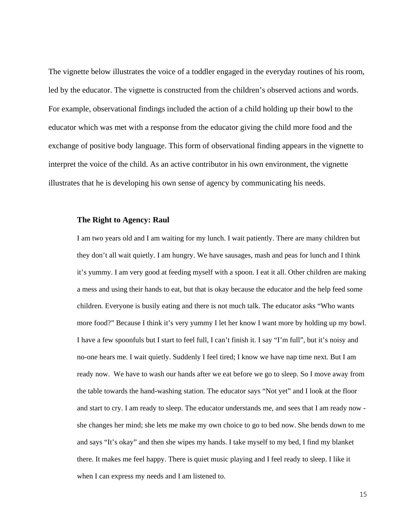The vignette below illustrates the voice of a toddler engaged in the everyday routines of his room, led by the educator. The vignette is constructed from the children's observed actions and words. For example, observational findings included the action of a child holding up their bowl to the educator which was met with a response from the educator giving the child more food and the exchange of positive body language. This form of observational finding appears in the vignette to interpret the voice of the child. As an active contributor in his own environment, the vignette illustrates that he is developing his own sense of agency by communicating his needs.

#### **The Right to Agency: Raul**

I am two years old and I am waiting for my lunch. I wait patiently. There are many children but they don't all wait quietly. I am hungry. We have sausages, mash and peas for lunch and I think it's yummy. I am very good at feeding myself with a spoon. I eat it all. Other children are making a mess and using their hands to eat, but that is okay because the educator and the help feed some children. Everyone is busily eating and there is not much talk. The educator asks "Who wants more food?" Because I think it's very yummy I let her know I want more by holding up my bowl. I have a few spoonfuls but I start to feel full, I can't finish it. I say "I'm full", but it's noisy and no-one hears me. I wait quietly. Suddenly I feel tired; I know we have nap time next. But I am ready now. We have to wash our hands after we eat before we go to sleep. So I move away from the table towards the hand-washing station. The educator says "Not yet" and I look at the floor and start to cry. I am ready to sleep. The educator understands me, and sees that I am ready now she changes her mind; she lets me make my own choice to go to bed now. She bends down to me and says "It's okay" and then she wipes my hands. I take myself to my bed, I find my blanket there. It makes me feel happy. There is quiet music playing and I feel ready to sleep. I like it when I can express my needs and I am listened to.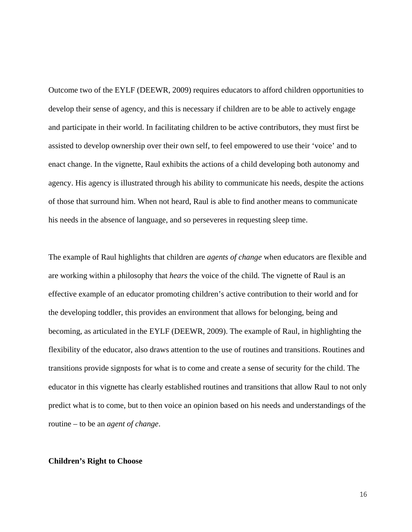Outcome two of the EYLF (DEEWR, 2009) requires educators to afford children opportunities to develop their sense of agency, and this is necessary if children are to be able to actively engage and participate in their world. In facilitating children to be active contributors, they must first be assisted to develop ownership over their own self, to feel empowered to use their 'voice' and to enact change. In the vignette, Raul exhibits the actions of a child developing both autonomy and agency. His agency is illustrated through his ability to communicate his needs, despite the actions of those that surround him. When not heard, Raul is able to find another means to communicate his needs in the absence of language, and so perseveres in requesting sleep time.

The example of Raul highlights that children are *agents of change* when educators are flexible and are working within a philosophy that *hears* the voice of the child. The vignette of Raul is an effective example of an educator promoting children's active contribution to their world and for the developing toddler, this provides an environment that allows for belonging, being and becoming, as articulated in the EYLF (DEEWR, 2009). The example of Raul, in highlighting the flexibility of the educator, also draws attention to the use of routines and transitions. Routines and transitions provide signposts for what is to come and create a sense of security for the child. The educator in this vignette has clearly established routines and transitions that allow Raul to not only predict what is to come, but to then voice an opinion based on his needs and understandings of the routine – to be an *agent of change*.

#### **Children's Right to Choose**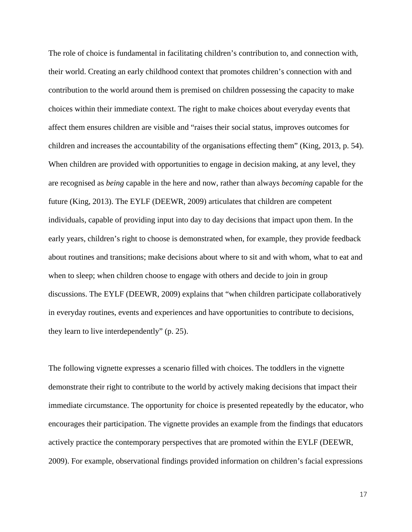The role of choice is fundamental in facilitating children's contribution to, and connection with, their world. Creating an early childhood context that promotes children's connection with and contribution to the world around them is premised on children possessing the capacity to make choices within their immediate context. The right to make choices about everyday events that affect them ensures children are visible and "raises their social status, improves outcomes for children and increases the accountability of the organisations effecting them" (King, 2013, p. 54). When children are provided with opportunities to engage in decision making, at any level, they are recognised as *being* capable in the here and now, rather than always *becoming* capable for the future (King, 2013). The EYLF (DEEWR, 2009) articulates that children are competent individuals, capable of providing input into day to day decisions that impact upon them. In the early years, children's right to choose is demonstrated when, for example, they provide feedback about routines and transitions; make decisions about where to sit and with whom, what to eat and when to sleep; when children choose to engage with others and decide to join in group discussions. The EYLF (DEEWR, 2009) explains that "when children participate collaboratively in everyday routines, events and experiences and have opportunities to contribute to decisions, they learn to live interdependently" (p. 25).

The following vignette expresses a scenario filled with choices. The toddlers in the vignette demonstrate their right to contribute to the world by actively making decisions that impact their immediate circumstance. The opportunity for choice is presented repeatedly by the educator, who encourages their participation. The vignette provides an example from the findings that educators actively practice the contemporary perspectives that are promoted within the EYLF (DEEWR, 2009). For example, observational findings provided information on children's facial expressions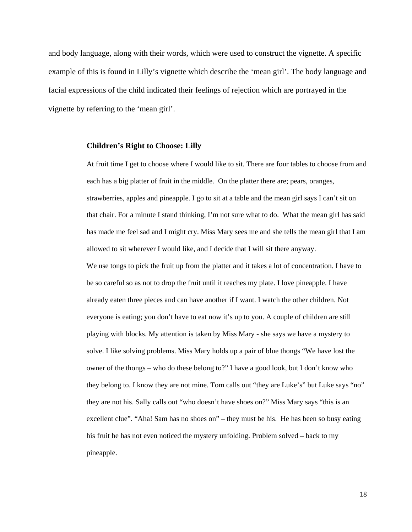and body language, along with their words, which were used to construct the vignette. A specific example of this is found in Lilly's vignette which describe the 'mean girl'. The body language and facial expressions of the child indicated their feelings of rejection which are portrayed in the vignette by referring to the 'mean girl'.

#### **Children's Right to Choose: Lilly**

At fruit time I get to choose where I would like to sit. There are four tables to choose from and each has a big platter of fruit in the middle. On the platter there are; pears, oranges, strawberries, apples and pineapple. I go to sit at a table and the mean girl says I can't sit on that chair. For a minute I stand thinking, I'm not sure what to do. What the mean girl has said has made me feel sad and I might cry. Miss Mary sees me and she tells the mean girl that I am allowed to sit wherever I would like, and I decide that I will sit there anyway.

We use tongs to pick the fruit up from the platter and it takes a lot of concentration. I have to be so careful so as not to drop the fruit until it reaches my plate. I love pineapple. I have already eaten three pieces and can have another if I want. I watch the other children. Not everyone is eating; you don't have to eat now it's up to you. A couple of children are still playing with blocks. My attention is taken by Miss Mary - she says we have a mystery to solve. I like solving problems. Miss Mary holds up a pair of blue thongs "We have lost the owner of the thongs – who do these belong to?" I have a good look, but I don't know who they belong to. I know they are not mine. Tom calls out "they are Luke's" but Luke says "no" they are not his. Sally calls out "who doesn't have shoes on?" Miss Mary says "this is an excellent clue". "Aha! Sam has no shoes on" – they must be his. He has been so busy eating his fruit he has not even noticed the mystery unfolding. Problem solved – back to my pineapple.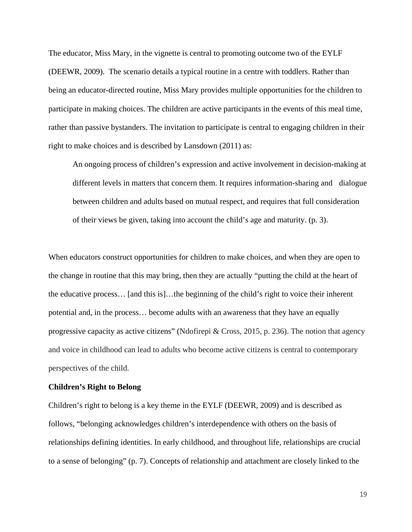The educator, Miss Mary, in the vignette is central to promoting outcome two of the EYLF (DEEWR, 2009). The scenario details a typical routine in a centre with toddlers. Rather than being an educator-directed routine, Miss Mary provides multiple opportunities for the children to participate in making choices. The children are active participants in the events of this meal time, rather than passive bystanders. The invitation to participate is central to engaging children in their right to make choices and is described by Lansdown (2011) as:

An ongoing process of children's expression and active involvement in decision-making at different levels in matters that concern them. It requires information-sharing and dialogue between children and adults based on mutual respect, and requires that full consideration of their views be given, taking into account the child's age and maturity. (p. 3).

When educators construct opportunities for children to make choices, and when they are open to the change in routine that this may bring, then they are actually "putting the child at the heart of the educative process… [and this is]…the beginning of the child's right to voice their inherent potential and, in the process… become adults with an awareness that they have an equally progressive capacity as active citizens" (Ndofirepi & Cross, 2015, p. 236). The notion that agency and voice in childhood can lead to adults who become active citizens is central to contemporary perspectives of the child.

#### **Children's Right to Belong**

Children's right to belong is a key theme in the EYLF (DEEWR, 2009) and is described as follows, "belonging acknowledges children's interdependence with others on the basis of relationships defining identities. In early childhood, and throughout life, relationships are crucial to a sense of belonging" (p. 7). Concepts of relationship and attachment are closely linked to the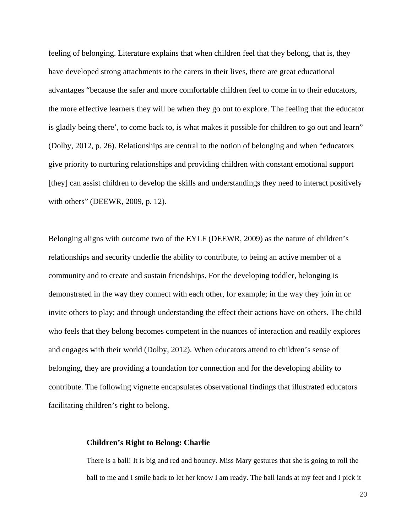feeling of belonging. Literature explains that when children feel that they belong, that is, they have developed strong attachments to the carers in their lives, there are great educational advantages "because the safer and more comfortable children feel to come in to their educators, the more effective learners they will be when they go out to explore. The feeling that the educator is gladly being there', to come back to, is what makes it possible for children to go out and learn" (Dolby, 2012, p. 26). Relationships are central to the notion of belonging and when "educators give priority to nurturing relationships and providing children with constant emotional support [they] can assist children to develop the skills and understandings they need to interact positively with others" (DEEWR, 2009, p. 12).

Belonging aligns with outcome two of the EYLF (DEEWR, 2009) as the nature of children's relationships and security underlie the ability to contribute, to being an active member of a community and to create and sustain friendships. For the developing toddler, belonging is demonstrated in the way they connect with each other, for example; in the way they join in or invite others to play; and through understanding the effect their actions have on others. The child who feels that they belong becomes competent in the nuances of interaction and readily explores and engages with their world (Dolby, 2012). When educators attend to children's sense of belonging, they are providing a foundation for connection and for the developing ability to contribute. The following vignette encapsulates observational findings that illustrated educators facilitating children's right to belong.

#### **Children's Right to Belong: Charlie**

There is a ball! It is big and red and bouncy. Miss Mary gestures that she is going to roll the ball to me and I smile back to let her know I am ready. The ball lands at my feet and I pick it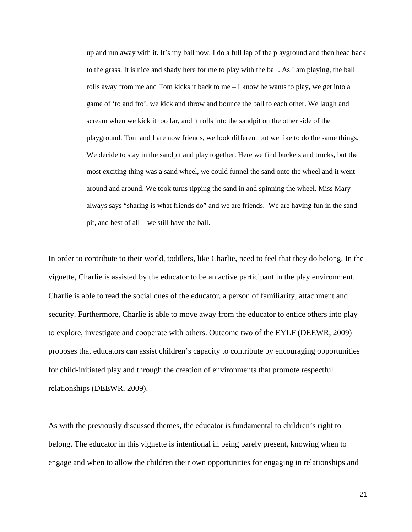up and run away with it. It's my ball now. I do a full lap of the playground and then head back to the grass. It is nice and shady here for me to play with the ball. As I am playing, the ball rolls away from me and Tom kicks it back to me  $-I$  know he wants to play, we get into a game of 'to and fro', we kick and throw and bounce the ball to each other. We laugh and scream when we kick it too far, and it rolls into the sandpit on the other side of the playground. Tom and I are now friends, we look different but we like to do the same things. We decide to stay in the sandpit and play together. Here we find buckets and trucks, but the most exciting thing was a sand wheel, we could funnel the sand onto the wheel and it went around and around. We took turns tipping the sand in and spinning the wheel. Miss Mary always says "sharing is what friends do" and we are friends. We are having fun in the sand pit, and best of all – we still have the ball.

In order to contribute to their world, toddlers, like Charlie, need to feel that they do belong. In the vignette, Charlie is assisted by the educator to be an active participant in the play environment. Charlie is able to read the social cues of the educator, a person of familiarity, attachment and security. Furthermore, Charlie is able to move away from the educator to entice others into play – to explore, investigate and cooperate with others. Outcome two of the EYLF (DEEWR, 2009) proposes that educators can assist children's capacity to contribute by encouraging opportunities for child-initiated play and through the creation of environments that promote respectful relationships (DEEWR, 2009).

As with the previously discussed themes, the educator is fundamental to children's right to belong. The educator in this vignette is intentional in being barely present, knowing when to engage and when to allow the children their own opportunities for engaging in relationships and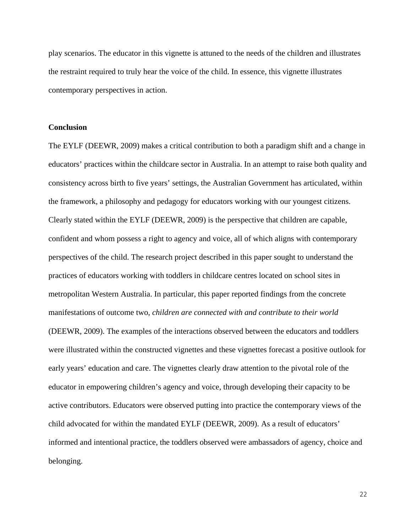play scenarios. The educator in this vignette is attuned to the needs of the children and illustrates the restraint required to truly hear the voice of the child. In essence, this vignette illustrates contemporary perspectives in action.

## **Conclusion**

The EYLF (DEEWR, 2009) makes a critical contribution to both a paradigm shift and a change in educators' practices within the childcare sector in Australia. In an attempt to raise both quality and consistency across birth to five years' settings, the Australian Government has articulated, within the framework, a philosophy and pedagogy for educators working with our youngest citizens. Clearly stated within the EYLF (DEEWR, 2009) is the perspective that children are capable, confident and whom possess a right to agency and voice, all of which aligns with contemporary perspectives of the child. The research project described in this paper sought to understand the practices of educators working with toddlers in childcare centres located on school sites in metropolitan Western Australia. In particular, this paper reported findings from the concrete manifestations of outcome two, *children are connected with and contribute to their world*  (DEEWR, 2009). The examples of the interactions observed between the educators and toddlers were illustrated within the constructed vignettes and these vignettes forecast a positive outlook for early years' education and care. The vignettes clearly draw attention to the pivotal role of the educator in empowering children's agency and voice, through developing their capacity to be active contributors. Educators were observed putting into practice the contemporary views of the child advocated for within the mandated EYLF (DEEWR, 2009). As a result of educators' informed and intentional practice, the toddlers observed were ambassadors of agency, choice and belonging.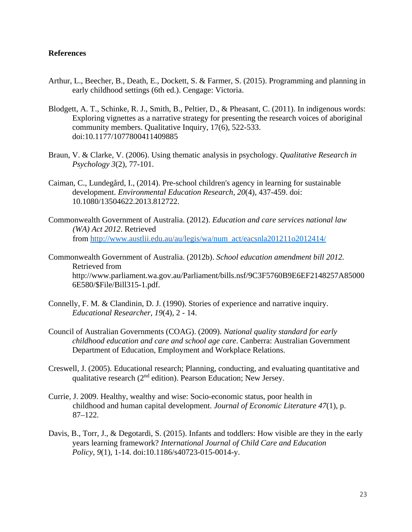## **References**

- Arthur, L., Beecher, B., Death, E., Dockett, S. & Farmer, S. (2015). Programming and planning in early childhood settings (6th ed.). Cengage: Victoria.
- Blodgett, A. T., Schinke, R. J., Smith, B., Peltier, D., & Pheasant, C. (2011). In indigenous words: Exploring vignettes as a narrative strategy for presenting the research voices of aboriginal community members. Qualitative Inquiry, 17(6), 522-533. doi:10.1177/1077800411409885
- Braun, V. & Clarke, V. (2006). Using thematic analysis in psychology. *Qualitative Research in Psychology 3*(2), 77-101.
- Caiman, C., Lundegård, I., (2014). Pre-school children's agency in learning for sustainable development. *Environmental Education Research, 20*(4), 437-459. doi: 10.1080/13504622.2013.812722.
- Commonwealth Government of Australia. (2012). *Education and care services national law (WA) Act 2012*. Retrieved from [http://www.austlii.edu.au/au/legis/wa/num\\_act/eacsnla201211o2012414/](http://www.austlii.edu.au/au/legis/wa/num_act/eacsnla201211o2012414/)
- Commonwealth Government of Australia. (2012b). *School education amendment bill 2012.*  Retrieved from http://www.parliament.wa.gov.au/Parliament/bills.nsf/9C3F5760B9E6EF2148257A85000 6E580/\$File/Bill315-1.pdf.
- Connelly, F. M. & Clandinin, D. J. (1990). Stories of experience and narrative inquiry. *Educational Researcher*, *19*(4), 2 - 14.
- Council of Australian Governments (COAG). (2009). *National quality standard for early childhood education and care and school age care*. Canberra: Australian Government Department of Education, Employment and Workplace Relations.
- Creswell, J. (2005). Educational research; Planning, conducting, and evaluating quantitative and qualitative research  $(2<sup>nd</sup>$  edition). Pearson Education; New Jersey.
- Currie, J. 2009. Healthy, wealthy and wise: Socio-economic status, poor health in childhood and human capital development. *Journal of Economic Literature 47*(1), p. 87–122.
- Davis, B., Torr, J., & Degotardi, S. (2015). Infants and toddlers: How visible are they in the early years learning framework? *International Journal of Child Care and Education Policy, 9*(1), 1-14. doi:10.1186/s40723-015-0014-y.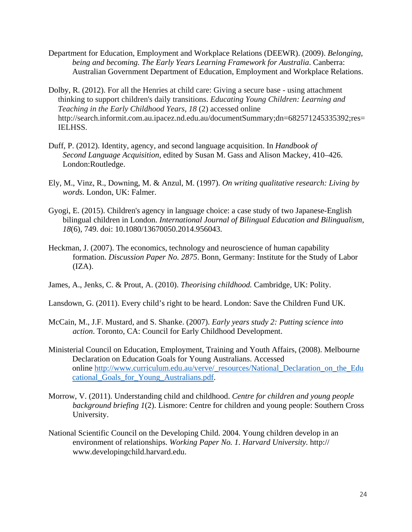- Department for Education, Employment and Workplace Relations (DEEWR). (2009). *Belonging, being and becoming. The Early Years Learning Framework for Australia*. Canberra: Australian Government Department of Education, Employment and Workplace Relations.
- Dolby, R. (2012). For all the Henries at child care: Giving a secure base using attachment thinking to support children's daily transitions. *Educating Young Children: Learning and Teaching in the Early Childhood Years, 18* (2) accessed online http://search.informit.com.au.ipacez.nd.edu.au/documentSummary;dn=682571245335392;res= IELHSS.
- Duff, P. (2012). Identity, agency, and second language acquisition. In *Handbook of Second Language Acquisition*, edited by Susan M. Gass and Alison Mackey, 410–426. London:Routledge.
- Ely, M., Vinz, R., Downing, M. & Anzul, M. (1997). *On writing qualitative research: Living by words.* London, UK: Falmer.
- Gyogi, E. (2015). Children's agency in language choice: a case study of two Japanese-English bilingual children in London. *International Journal of Bilingual Education and Bilingualism, 18*(6), 749. doi: 10.1080/13670050.2014.956043.
- Heckman, J. (2007). The economics, technology and neuroscience of human capability formation. *Discussion Paper No. 2875*. Bonn, Germany: Institute for the Study of Labor  $(IZA).$
- James, A., Jenks, C. & Prout, A. (2010). *Theorising childhood.* Cambridge, UK: Polity.
- Lansdown, G. (2011). Every child's right to be heard. London: Save the Children Fund UK.
- McCain, M., J.F. Mustard, and S. Shanke. (2007). *Early years study 2: Putting science into action*. Toronto, CA: Council for Early Childhood Development.
- Ministerial Council on Education, Employment, Training and Youth Affairs, (2008). Melbourne Declaration on Education Goals for Young Australians. Accessed online [http://www.curriculum.edu.au/verve/\\_resources/National\\_Declaration\\_on\\_the\\_Edu](http://www.curriculum.edu.au/verve/_resources/National_Declaration_on_the_Educational_Goals_for_Young_Australians.pdf) [cational\\_Goals\\_for\\_Young\\_Australians.pdf.](http://www.curriculum.edu.au/verve/_resources/National_Declaration_on_the_Educational_Goals_for_Young_Australians.pdf)
- Morrow, V. (2011). Understanding child and childhood. *Centre for children and young people background briefing 1*(2). Lismore: Centre for children and young people: Southern Cross University.
- National Scientific Council on the Developing Child. 2004. Young children develop in an environment of relationships. *Working Paper No. 1. Harvard University.* http:// www.developingchild.harvard.edu.